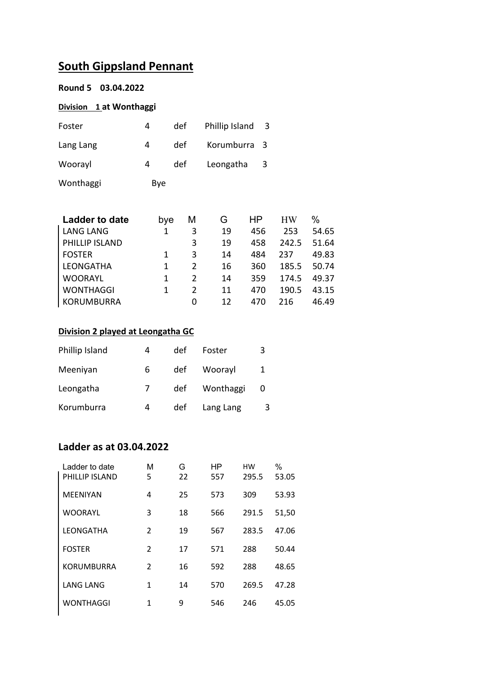# **South Gippsland Pennant**

|  |  | Round 5 03.04.2022 |  |
|--|--|--------------------|--|
|--|--|--------------------|--|

#### **Division 1 at Wonthaggi**

| Foster    | 4   | def | Phillip Island | - 3 |
|-----------|-----|-----|----------------|-----|
| Lang Lang | 4   | def | Korumburra 3   |     |
| Woorayl   | 4   | def | Leongatha      | -3  |
| Wonthaggi | Bye |     |                |     |

| <b>Ladder to date</b> | bye | М             | G  | ΗP  | <b>HW</b> | $\%$  |
|-----------------------|-----|---------------|----|-----|-----------|-------|
| <b>LANG LANG</b>      | 1   | 3             | 19 | 456 | 253       | 54.65 |
| PHILLIP ISLAND        |     | 3             | 19 | 458 | 242.5     | 51.64 |
| <b>FOSTER</b>         | 1   | 3             | 14 | 484 | 237       | 49.83 |
| <b>LEONGATHA</b>      |     | 2             | 16 | 360 | 185.5     | 50.74 |
| <b>WOORAYL</b>        | 1   | $\mathcal{P}$ | 14 | 359 | 174.5     | 49.37 |
| <b>WONTHAGGI</b>      |     | $\mathcal{P}$ | 11 | 470 | 190.5     | 43.15 |
| KORUMBURRA            |     | 0             | 12 | 470 | 216       | 46.49 |

#### **Division 2 played at Leongatha GC**

| Phillip Island | 4 | def | Foster    | 3 |
|----------------|---|-----|-----------|---|
| Meeniyan       | 6 | def | Woorayl   |   |
| Leongatha      |   | def | Wonthaggi |   |
| Korumburra     | 4 | def | Lang Lang | 3 |

### **Ladder as at 03.04.2022**

| Ladder to date<br>PHILLIP ISLAND | М<br>5                   | G<br>22 | HP<br>557 | нw<br>295.5 | %<br>53.05 |
|----------------------------------|--------------------------|---------|-----------|-------------|------------|
| <b>MEENIYAN</b>                  | 4                        | 25      | 573       | 309         | 53.93      |
| <b>WOORAYL</b>                   | 3                        | 18      | 566       | 291.5       | 51,50      |
| LEONGATHA                        | $\overline{2}$           | 19      | 567       | 283.5       | 47.06      |
| <b>FOSTER</b>                    | $\mathfrak{D}$           | 17      | 571       | 288         | 50.44      |
| <b>KORUMBURRA</b>                | $\overline{\mathcal{L}}$ | 16      | 592       | 288         | 48.65      |
| LANG LANG                        | 1                        | 14      | 570       | 269.5       | 47.28      |
| <b>WONTHAGGI</b>                 | 1                        | 9       | 546       | 246         | 45.05      |
|                                  |                          |         |           |             |            |